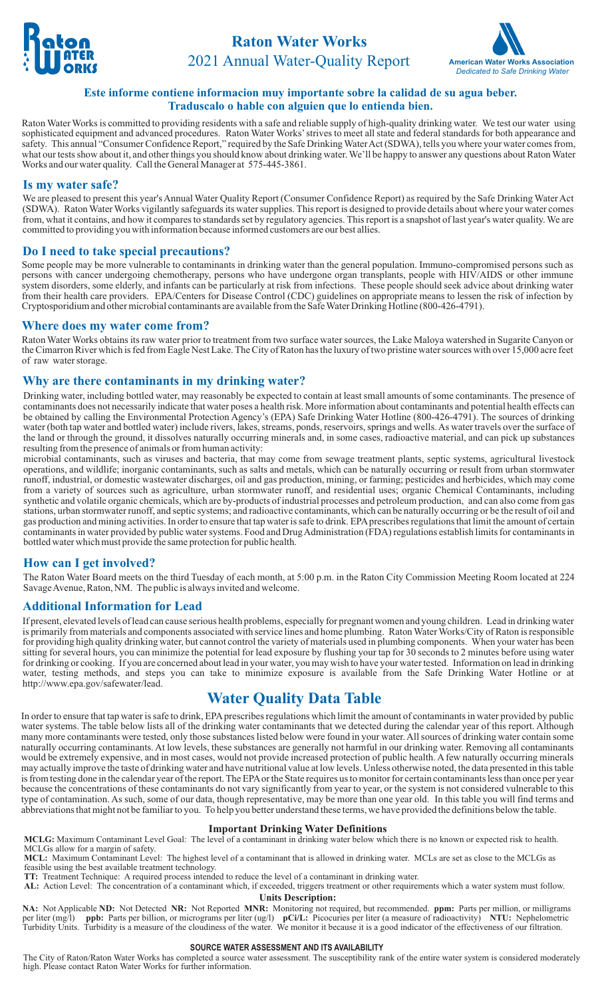



## **Este informe contiene informacion muy importante sobre la calidad de su agua beber. Traduscalo o hable con alguien que lo entienda bien.**

Raton Water Works is committed to providing residents with a safe and reliable supply of high-quality drinking water. We test our water using sophisticated equipment and advanced procedures. Raton Water Works'strives to meet all state and federal standards for both appearance and safety. This annual "Consumer Confidence Report," required by the Safe Drinking Water Act (SDWA), tells you where your water comes from, what our tests show about it, and other things you should know about drinking water. We'll be happy to answer any questions about Raton Water Works and our water quality. Call the General Manager at 575-445-3861.

## **Is my water safe?**

We are pleased to present this year's Annual Water Quality Report (Consumer Confidence Report) as required by the Safe Drinking Water Act (SDWA). Raton Water Works vigilantly safeguards its water supplies. This report is designed to provide details about where your water comes from, what it contains, and how it compares to standards set by regulatory agencies. This report is a snapshot of last year's water quality. We are committed to providing you with information because informed customers are our best allies.

## **Do I need to take special precautions?**

Some people may be more vulnerable to contaminants in drinking water than the general population. Immuno-compromised persons such as persons with cancer undergoing chemotherapy, persons who have undergone organ transplants, people with HIV/AIDS or other immune system disorders, some elderly, and infants can be particularly at risk from infections. These people should seek advice about drinking water from their health care providers. EPA/Centers for Disease Control (CDC) guidelines on appropriate means to lessen the risk of infection by Cryptosporidium and other microbial contaminants are available from the Safe Water Drinking Hotline (800-426-4791).

## **Where does my water come from?**

Raton Water Works obtains its raw water prior to treatment from two surface water sources, the Lake Maloya watershed in Sugarite Canyon or the Cimarron River which is fed from Eagle Nest Lake. The City of Raton has the luxury of two pristine water sources with over 15,000 acre feet of raw water storage.

## **Why are there contaminants in my drinking water?**

Drinking water, including bottled water, may reasonably be expected to contain at least small amounts of some contaminants. The presence of contaminants does not necessarily indicate that water poses a health risk. More information about contaminants and potential health effects can be obtained by calling the Environmental Protection Agency's (EPA) Safe Drinking Water Hotline (800-426-4791). The sources of drinking water (both tap water and bottled water) include rivers, lakes, streams, ponds, reservoirs, springs and wells. As water travels over the surface of the land or through the ground, it dissolves naturally occurring minerals and, in some cases, radioactive material, and can pick up substances resulting from the presence of animals or from human activity:

microbial contaminants, such as viruses and bacteria, that may come from sewage treatment plants, septic systems, agricultural livestock operations, and wildlife; inorganic contaminants, such as salts and metals, which can be naturally occurring or result from urban stormwater runoff, industrial, or domestic wastewater discharges, oil and gas production, mining, or farming; pesticides and herbicides, which may come from a variety of sources such as agriculture, urban stormwater runoff, and residential uses; organic Chemical Contaminants, including synthetic and volatile organic chemicals, which are by-products of industrial processes and petroleum production, and can also come from gas stations, urban stormwater runoff, and septic systems; and radioactive contaminants, which can be naturally occurring or be the result of oil and gas production and mining activities. In order to ensure that tap water is safe to drink. EPAprescribes regulations that limit the amount of certain contaminants in water provided by public water systems. Food and Drug Administration (FDA) regulations establish limits for contaminants in bottled water which must provide the same protection for public health.

## **How can I get involved?**

The Raton Water Board meets on the third Tuesday of each month, at 5:00 p.m. in the Raton City Commission Meeting Room located at 224 Savage Avenue, Raton, NM. The public is always invited and welcome.

## **Additional Information for Lead**

If present, elevated levels of lead can cause serious health problems, especially for pregnant women and young children. Lead in drinking water is primarily from materials and components associated with service lines and home plumbing. Raton Water Works/City of Raton is responsible for providing high quality drinking water, but cannot control the variety of materials used in plumbing components. When your water has been sitting for several hours, you can minimize the potential for lead exposure by flushing your tap for 30 seconds to 2 minutes before using water for drinking or cooking. If you are concerned about lead in your water, you may wish to have your water tested. Information on lead in drinking water, testing methods, and steps you can take to minimize exposure is available from the Safe Drinking Water Hotline or at http://www.epa.gov/safewater/lead.

# **Water Quality Data Table**

In order to ensure that tap water is safe to drink, EPAprescribes regulations which limit the amount of contaminants in water provided by public water systems. The table below lists all of the drinking water contaminants that we detected during the calendar year of this report. Although many more contaminants were tested, only those substances listed below were found in your water. All sources of drinking water contain some naturally occurring contaminants. At low levels, these substances are generally not harmful in our drinking water. Removing all contaminants would be extremely expensive, and in most cases, would not provide increased protection of public health. Afew naturally occurring minerals may actually improve the taste of drinking water and have nutritional value at low levels. Unless otherwise noted, the data presented in this table is from testing done in the calendar year of the report. The EPAor the State requires us to monitor for certain contaminants less than once per year because the concentrations of these contaminants do not vary significantly from year to year, or the system is not considered vulnerable to this type of contamination. As such, some of our data, though representative, may be more than one year old. In this table you will find terms and abbreviations that might not be familiar to you. To help you better understand these terms, we have provided the definitions below the table.

# **Important Drinking Water Definitions**

**MCLG:** Maximum Contaminant Level Goal: The level of a contaminant in drinking water below which there is no known or expected risk to health. MCLGs allow for a margin of safety.

**MCL:** Maximum Contaminant Level: The highest level of a contaminant that is allowed in drinking water. MCLs are set as close to the MCLGs as feasible using the best available treatment technology.

**TT:** Treatment Technique: A required process intended to reduce the level of a contaminant in drinking water.

**AL:** Action Level: The concentration of a contaminant which, if exceeded, triggers treatment or other requirements which a water system must follow. **Units Description:**

**NA:** Not Applicable **ND:** Not Detected **NR:** Not Reported **MNR:** Monitoring not required, but recommended. **ppm:** Parts per million, or milligrams per liter (mg/l) **ppb:** Parts per billion, or micrograms per liter (ug/l) **pCi/L:** Picocuries per liter (a measure of radioactivity) **NTU:** Nephelometric Turbidity Units. Turbidity is a measure of the cloudiness of the water. We monitor it because it is a good indicator of the effectiveness of our filtration.

## **SOURCE WATER ASSESSMENT AND ITS AVAILABILITY**

The City of Raton/Raton Water Works has completed a source water assessment. The susceptibility rank of the entire water system is considered moderately high. Please contact Raton Water Works for further information.